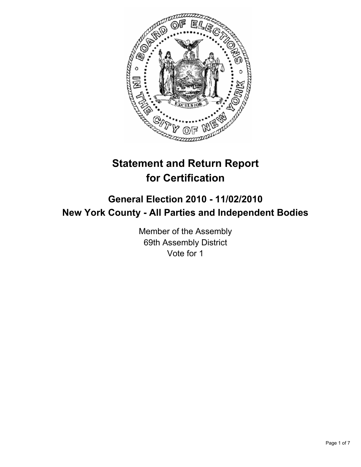

# **Statement and Return Report for Certification**

## **General Election 2010 - 11/02/2010 New York County - All Parties and Independent Bodies**

Member of the Assembly 69th Assembly District Vote for 1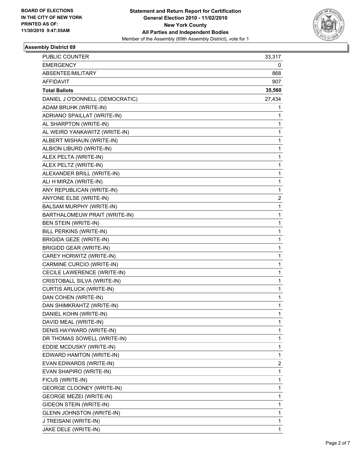

## **Assembly District 69**

| PUBLIC COUNTER                   | 33,317 |
|----------------------------------|--------|
| <b>EMERGENCY</b>                 | 0      |
| ABSENTEE/MILITARY                | 868    |
| <b>AFFIDAVIT</b>                 | 907    |
| <b>Total Ballots</b>             | 35,560 |
| DANIEL J O'DONNELL (DEMOCRATIC)  | 27,434 |
| ADAM BRUHK (WRITE-IN)            | 1      |
| ADRIANO SPAILLAT (WRITE-IN)      | 1      |
| AL SHARPTON (WRITE-IN)           | 1      |
| AL WEIRD YANKAWITZ (WRITE-IN)    | 1      |
| ALBERT MISHAUN (WRITE-IN)        | 1      |
| ALBION LIBURD (WRITE-IN)         | 1      |
| ALEX PELTA (WRITE-IN)            | 1      |
| ALEX PELTZ (WRITE-IN)            | 1      |
| ALEXANDER BRILL (WRITE-IN)       | 1      |
| ALI H MIRZA (WRITE-IN)           | 1      |
| ANY REPUBLICAN (WRITE-IN)        | 1      |
| ANYONE ELSE (WRITE-IN)           | 2      |
| BALSAM MURPHY (WRITE-IN)         | 1      |
| BARTHALOMEUW PRAIT (WRITE-IN)    | 1      |
| BEN STEIN (WRITE-IN)             | 1      |
| BILL PERKINS (WRITE-IN)          | 1      |
| BRIGIDA GEZE (WRITE-IN)          | 1      |
| <b>BRIGIDD GEAR (WRITE-IN)</b>   | 1      |
| CAREY HORWITZ (WRITE-IN)         | 1      |
| CARMINE CURCIO (WRITE-IN)        | 1      |
| CECILE LAWERENCE (WRITE-IN)      | 1      |
| CRISTOBALL SILVA (WRITE-IN)      | 1      |
| <b>CURTIS ARLUCK (WRITE-IN)</b>  | 1      |
| DAN COHEN (WRITE-IN)             | 1      |
| DAN SHIMKRAHTZ (WRITE-IN)        | 1      |
| DANIEL KOHN (WRITE-IN)           | 1      |
| DAVID MEAL (WRITE-IN)            | 1      |
| DENIS HAYWARD (WRITE-IN)         | 1      |
| DR THOMAS SOWELL (WRITE-IN)      | 1      |
| EDDIE MCDUSKY (WRITE-IN)         | 1      |
| EDWARD HAMTON (WRITE-IN)         | 1      |
| EVAN EDWARDS (WRITE-IN)          | 2      |
| EVAN SHAPIRO (WRITE-IN)          | 1      |
| FICUS (WRITE-IN)                 | 1      |
| <b>GEORGE CLOONEY (WRITE-IN)</b> | 1      |
| <b>GEORGE MEZEI (WRITE-IN)</b>   | 1      |
| GIDEON STEIN (WRITE-IN)          | 1      |
| <b>GLENN JOHNSTON (WRITE-IN)</b> | 1      |
| J TREISANI (WRITE-IN)            | 1      |
| JAKE DELE (WRITE-IN)             | 1      |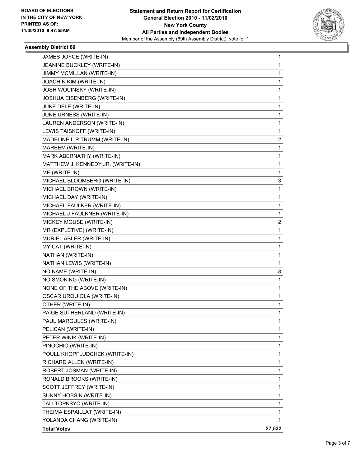

## **Assembly District 69**

| JAMES JOYCE (WRITE-IN)            | 1      |
|-----------------------------------|--------|
| JEANINE BUCKLEY (WRITE-IN)        | 1      |
| JIMMY MCMILLAN (WRITE-IN)         | 1      |
| JOACHIN KIM (WRITE-IN)            | 1      |
| <b>JOSH WOUINSKY (WRITE-IN)</b>   | 1      |
| JOSHUA EISENBERG (WRITE-IN)       | 1      |
| JUKE DELE (WRITE-IN)              | 1      |
| JUNE URNESS (WRITE-IN)            | 1      |
| LAUREN ANDERSON (WRITE-IN)        | 1      |
| LEWIS TAISKOFF (WRITE-IN)         | 1      |
| MADELINE L R TRUMM (WRITE-IN)     | 2      |
| MAREEM (WRITE-IN)                 | 1      |
| MARK ABERNATHY (WRITE-IN)         | 1      |
| MATTHEW J. KENNEDY JR. (WRITE-IN) | 1      |
| ME (WRITE-IN)                     | 1      |
| MICHAEL BLOOMBERG (WRITE-IN)      | 3      |
| MICHAEL BROWN (WRITE-IN)          | 1      |
| MICHAEL DAY (WRITE-IN)            | 1      |
| MICHAEL FAULKER (WRITE-IN)        | 1      |
| MICHAEL J FAULKNER (WRITE-IN)     | 1      |
| MICKEY MOUSE (WRITE-IN)           | 2      |
| MR (EXPLETIVE) (WRITE-IN)         | 1      |
| MURIEL ABLER (WRITE-IN)           | 1      |
| MY CAT (WRITE-IN)                 | 1      |
| NATHAN (WRITE-IN)                 | 1      |
| NATHAN LEWIS (WRITE-IN)           | 1      |
| NO NAME (WRITE-IN)                | 8      |
| NO SMOKING (WRITE-IN)             | 1      |
| NONE OF THE ABOVE (WRITE-IN)      | 1      |
| OSCAR URQUIOLA (WRITE-IN)         | 1      |
| OTHER (WRITE-IN)                  | 1      |
| PAIGE SUTHERLAND (WRITE-IN)       | 1      |
| PAUL MARGULES (WRITE-IN)          | 1      |
| PELICAN (WRITE-IN)                | 1      |
| PETER WINIK (WRITE-IN)            | 1      |
| PINOCHIO (WRITE-IN)               | 1      |
| POULL KHOPFLUDCHEK (WRITE-IN)     | 1      |
| RICHARD ALLEN (WRITE-IN)          | 1      |
| ROBERT JOSMAN (WRITE-IN)          | 1      |
| RONALD BROOKS (WRITE-IN)          | 1      |
| SCOTT JEFFREY (WRITE-IN)          | 1      |
| SUNNY HOBSIN (WRITE-IN)           | 1      |
| TALI TOPKSYO (WRITE-IN)           | 1      |
| THEIMA ESPAILLAT (WRITE-IN)       | 1      |
| YOLANDA CHANG (WRITE-IN)          | 1      |
| <b>Total Votes</b>                | 27,532 |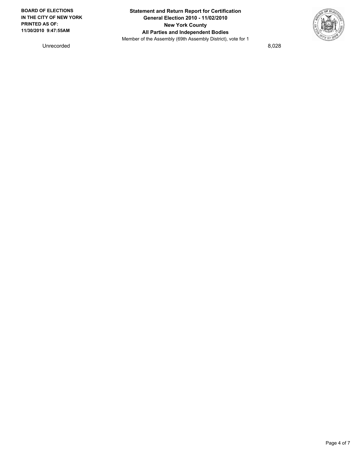

Unrecorded 8,028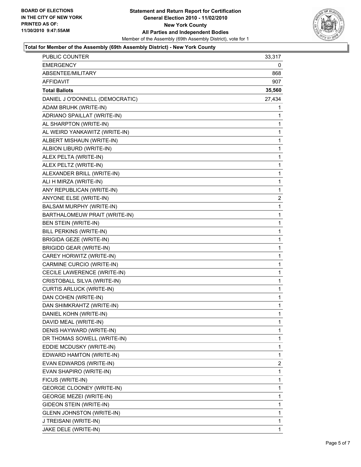

#### **Total for Member of the Assembly (69th Assembly District) - New York County**

| <b>PUBLIC COUNTER</b>            | 33,317       |
|----------------------------------|--------------|
| <b>EMERGENCY</b>                 | 0            |
| ABSENTEE/MILITARY                | 868          |
| AFFIDAVIT                        | 907          |
| <b>Total Ballots</b>             | 35,560       |
| DANIEL J O'DONNELL (DEMOCRATIC)  | 27,434       |
| ADAM BRUHK (WRITE-IN)            | 1            |
| ADRIANO SPAILLAT (WRITE-IN)      | 1            |
| AL SHARPTON (WRITE-IN)           | 1            |
| AL WEIRD YANKAWITZ (WRITE-IN)    | 1            |
| ALBERT MISHAUN (WRITE-IN)        | 1            |
| ALBION LIBURD (WRITE-IN)         | 1            |
| ALEX PELTA (WRITE-IN)            | 1            |
| ALEX PELTZ (WRITE-IN)            | 1            |
| ALEXANDER BRILL (WRITE-IN)       | 1            |
| ALI H MIRZA (WRITE-IN)           | 1            |
| ANY REPUBLICAN (WRITE-IN)        | 1            |
| ANYONE ELSE (WRITE-IN)           | 2            |
| BALSAM MURPHY (WRITE-IN)         | 1            |
| BARTHALOMEUW PRAIT (WRITE-IN)    | 1            |
| BEN STEIN (WRITE-IN)             | 1            |
| BILL PERKINS (WRITE-IN)          | 1            |
| <b>BRIGIDA GEZE (WRITE-IN)</b>   | 1            |
| <b>BRIGIDD GEAR (WRITE-IN)</b>   | 1            |
| CAREY HORWITZ (WRITE-IN)         | 1            |
| CARMINE CURCIO (WRITE-IN)        | 1            |
| CECILE LAWERENCE (WRITE-IN)      | 1            |
| CRISTOBALL SILVA (WRITE-IN)      | 1            |
| <b>CURTIS ARLUCK (WRITE-IN)</b>  | 1            |
| DAN COHEN (WRITE-IN)             | $\mathbf{1}$ |
| DAN SHIMKRAHTZ (WRITE-IN)        | 1            |
| DANIEL KOHN (WRITE-IN)           | 1            |
| DAVID MEAL (WRITE-IN)            | 1            |
| DENIS HAYWARD (WRITE-IN)         | 1            |
| DR THOMAS SOWELL (WRITE-IN)      | 1            |
| EDDIE MCDUSKY (WRITE-IN)         | $\mathbf{1}$ |
| EDWARD HAMTON (WRITE-IN)         | 1            |
| EVAN EDWARDS (WRITE-IN)          | 2            |
| EVAN SHAPIRO (WRITE-IN)          | 1            |
| FICUS (WRITE-IN)                 | 1            |
| GEORGE CLOONEY (WRITE-IN)        | 1            |
| GEORGE MEZEI (WRITE-IN)          | 1            |
| GIDEON STEIN (WRITE-IN)          | 1            |
| <b>GLENN JOHNSTON (WRITE-IN)</b> | 1            |
| J TREISANI (WRITE-IN)            | 1            |
| JAKE DELE (WRITE-IN)             | 1            |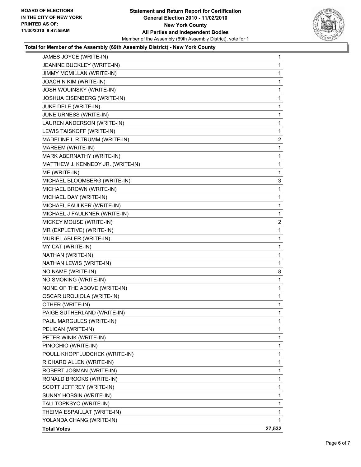

### **Total for Member of the Assembly (69th Assembly District) - New York County**

| JAMES JOYCE (WRITE-IN)            | $\mathbf 1$  |
|-----------------------------------|--------------|
| JEANINE BUCKLEY (WRITE-IN)        | 1            |
| JIMMY MCMILLAN (WRITE-IN)         | 1            |
| JOACHIN KIM (WRITE-IN)            | 1            |
| <b>JOSH WOUINSKY (WRITE-IN)</b>   | 1            |
| JOSHUA EISENBERG (WRITE-IN)       | 1            |
| JUKE DELE (WRITE-IN)              | 1            |
| JUNE URNESS (WRITE-IN)            | 1            |
| LAUREN ANDERSON (WRITE-IN)        | 1            |
| LEWIS TAISKOFF (WRITE-IN)         | 1            |
| MADELINE L R TRUMM (WRITE-IN)     | 2            |
| MAREEM (WRITE-IN)                 | 1            |
| MARK ABERNATHY (WRITE-IN)         | 1            |
| MATTHEW J. KENNEDY JR. (WRITE-IN) | 1            |
| ME (WRITE-IN)                     | 1            |
| MICHAEL BLOOMBERG (WRITE-IN)      | 3            |
| MICHAEL BROWN (WRITE-IN)          | $\mathbf 1$  |
| MICHAEL DAY (WRITE-IN)            | 1            |
| MICHAEL FAULKER (WRITE-IN)        | 1            |
| MICHAEL J FAULKNER (WRITE-IN)     | 1            |
| MICKEY MOUSE (WRITE-IN)           | 2            |
| MR (EXPLETIVE) (WRITE-IN)         | 1            |
| MURIEL ABLER (WRITE-IN)           | 1            |
| MY CAT (WRITE-IN)                 | 1            |
| NATHAN (WRITE-IN)                 | 1            |
| NATHAN LEWIS (WRITE-IN)           | 1            |
| NO NAME (WRITE-IN)                | 8            |
| NO SMOKING (WRITE-IN)             | 1            |
| NONE OF THE ABOVE (WRITE-IN)      | 1            |
| <b>OSCAR URQUIOLA (WRITE-IN)</b>  | 1            |
| OTHER (WRITE-IN)                  | 1            |
| PAIGE SUTHERLAND (WRITE-IN)       | $\mathbf{1}$ |
| PAUL MARGULES (WRITE-IN)          | 1            |
| PELICAN (WRITE-IN)                | 1            |
| PETER WINIK (WRITE-IN)            | 1            |
| PINOCHIO (WRITE-IN)               | 1            |
| POULL KHOPFLUDCHEK (WRITE-IN)     | 1            |
| RICHARD ALLEN (WRITE-IN)          | 1            |
| ROBERT JOSMAN (WRITE-IN)          | 1            |
| RONALD BROOKS (WRITE-IN)          | 1            |
| SCOTT JEFFREY (WRITE-IN)          | 1            |
| SUNNY HOBSIN (WRITE-IN)           | 1            |
| TALI TOPKSYO (WRITE-IN)           | 1            |
| THEIMA ESPAILLAT (WRITE-IN)       | $\mathbf{1}$ |
| YOLANDA CHANG (WRITE-IN)          | 1            |
| <b>Total Votes</b>                | 27,532       |